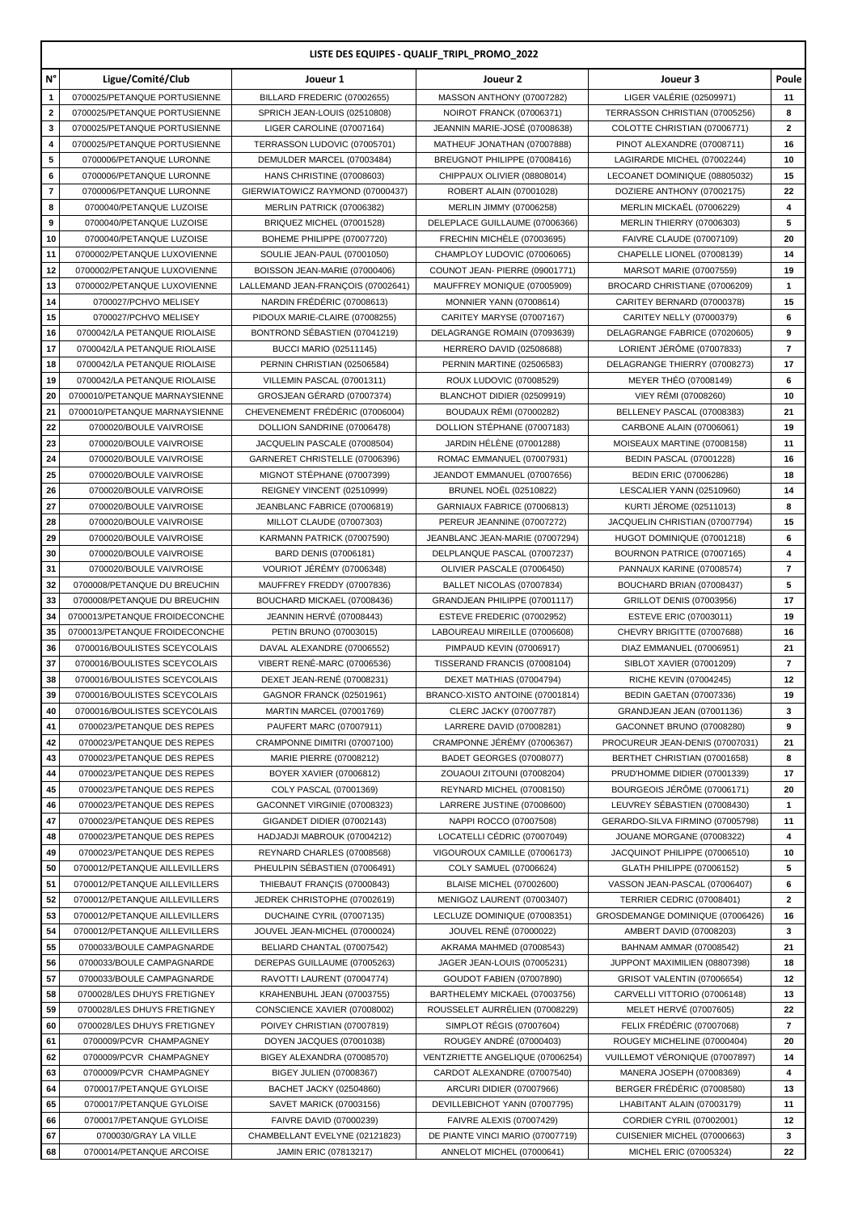| LISTE DES EQUIPES - QUALIF_TRIPL_PROMO_2022 |                                                              |                                                                     |                                                                  |                                                               |                     |  |  |  |  |
|---------------------------------------------|--------------------------------------------------------------|---------------------------------------------------------------------|------------------------------------------------------------------|---------------------------------------------------------------|---------------------|--|--|--|--|
| N°                                          | Ligue/Comité/Club                                            | Joueur 1                                                            | Joueur 2                                                         | Joueur 3                                                      | Poule               |  |  |  |  |
| 1                                           | 0700025/PETANQUE PORTUSIENNE                                 | BILLARD FREDERIC (07002655)                                         | MASSON ANTHONY (07007282)                                        | LIGER VALÉRIE (02509971)                                      | 11                  |  |  |  |  |
| $\mathbf 2$                                 | 0700025/PETANQUE PORTUSIENNE                                 | SPRICH JEAN-LOUIS (02510808)                                        | NOIROT FRANCK (07006371)                                         | TERRASSON CHRISTIAN (07005256)                                | 8                   |  |  |  |  |
| 3                                           | 0700025/PETANQUE PORTUSIENNE                                 | LIGER CAROLINE (07007164)                                           | JEANNIN MARIE-JOSÉ (07008638)                                    | COLOTTE CHRISTIAN (07006771)                                  | $\overline{2}$      |  |  |  |  |
| 4<br>5                                      | 0700025/PETANQUE PORTUSIENNE<br>0700006/PETANQUE LURONNE     | TERRASSON LUDOVIC (07005701)<br>DEMULDER MARCEL (07003484)          | MATHEUF JONATHAN (07007888)<br>BREUGNOT PHILIPPE (07008416)      | PINOT ALEXANDRE (07008711)<br>LAGIRARDE MICHEL (07002244)     | 16<br>10            |  |  |  |  |
| 6                                           | 0700006/PETANQUE LURONNE                                     | HANS CHRISTINE (07008603)                                           | CHIPPAUX OLIVIER (08808014)                                      | LECOANET DOMINIQUE (08805032)                                 | 15                  |  |  |  |  |
| $\overline{\mathbf{r}}$                     | 0700006/PETANQUE LURONNE                                     | GIERWIATOWICZ RAYMOND (07000437)                                    | ROBERT ALAIN (07001028)                                          | DOZIERE ANTHONY (07002175)                                    | 22                  |  |  |  |  |
| 8                                           | 0700040/PETANQUE LUZOISE                                     | MERLIN PATRICK (07006382)                                           | MERLIN JIMMY (07006258)                                          | MERLIN MICKAËL (07006229)                                     | 4                   |  |  |  |  |
| 9                                           | 0700040/PETANQUE LUZOISE                                     | BRIQUEZ MICHEL (07001528)                                           | DELEPLACE GUILLAUME (07006366)                                   | MERLIN THIERRY (07006303)                                     | 5                   |  |  |  |  |
| 10                                          | 0700040/PETANQUE LUZOISE                                     | BOHEME PHILIPPE (07007720)                                          | FRECHIN MICHELE (07003695)                                       | FAIVRE CLAUDE (07007109)                                      | 20                  |  |  |  |  |
| 11                                          | 0700002/PETANQUE LUXOVIENNE                                  | SOULIE JEAN-PAUL (07001050)                                         | CHAMPLOY LUDOVIC (07006065)                                      | CHAPELLE LIONEL (07008139)                                    | 14                  |  |  |  |  |
| 12<br>13                                    | 0700002/PETANQUE LUXOVIENNE<br>0700002/PETANQUE LUXOVIENNE   | BOISSON JEAN-MARIE (07000406)<br>LALLEMAND JEAN-FRANÇOIS (07002641) | COUNOT JEAN- PIERRE (09001771)<br>MAUFFREY MONIQUE (07005909)    | MARSOT MARIE (07007559)<br>BROCARD CHRISTIANE (07006209)      | 19<br>$\mathbf{1}$  |  |  |  |  |
| 14                                          | 0700027/PCHVO MELISEY                                        | NARDIN FRÉDÉRIC (07008613)                                          | <b>MONNIER YANN (07008614)</b>                                   | CARITEY BERNARD (07000378)                                    | 15                  |  |  |  |  |
| 15                                          | 0700027/PCHVO MELISEY                                        | PIDOUX MARIE-CLAIRE (07008255)                                      | CARITEY MARYSE (07007167)                                        | CARITEY NELLY (07000379)                                      | 6                   |  |  |  |  |
| 16                                          | 0700042/LA PETANQUE RIOLAISE                                 | BONTROND SÉBASTIEN (07041219)                                       | DELAGRANGE ROMAIN (07093639)                                     | DELAGRANGE FABRICE (07020605)                                 | 9                   |  |  |  |  |
| 17                                          | 0700042/LA PETANQUE RIOLAISE                                 | <b>BUCCI MARIO (02511145)</b>                                       | HERRERO DAVID (02508688)                                         | LORIENT JÉRÔME (07007833)                                     | $\overline{7}$      |  |  |  |  |
| 18                                          | 0700042/LA PETANQUE RIOLAISE                                 | PERNIN CHRISTIAN (02506584)                                         | PERNIN MARTINE (02506583)                                        | DELAGRANGE THIERRY (07008273)                                 | 17                  |  |  |  |  |
| 19                                          | 0700042/LA PETANQUE RIOLAISE                                 | VILLEMIN PASCAL (07001311)                                          | ROUX LUDOVIC (07008529)                                          | MEYER THÉO (07008149)                                         | 6                   |  |  |  |  |
| 20                                          | 0700010/PETANQUE MARNAYSIENNE                                | GROSJEAN GÉRARD (07007374)                                          | BLANCHOT DIDIER (02509919)                                       | VIEY RÉMI (07008260)                                          | 10                  |  |  |  |  |
| 21                                          | 0700010/PETANQUE MARNAYSIENNE                                | CHEVENEMENT FRÉDÉRIC (07006004)                                     | <b>BOUDAUX RÉMI (07000282)</b>                                   | BELLENEY PASCAL (07008383)                                    | 21                  |  |  |  |  |
| 22<br>23                                    | 0700020/BOULE VAIVROISE<br>0700020/BOULE VAIVROISE           | DOLLION SANDRINE (07006478)<br>JACQUELIN PASCALE (07008504)         | DOLLION STÉPHANE (07007183)<br>JARDIN HÉLÈNE (07001288)          | CARBONE ALAIN (07006061)<br>MOISEAUX MARTINE (07008158)       | 19<br>11            |  |  |  |  |
| 24                                          | 0700020/BOULE VAIVROISE                                      | GARNERET CHRISTELLE (07006396)                                      | ROMAC EMMANUEL (07007931)                                        | BEDIN PASCAL (07001228)                                       | 16                  |  |  |  |  |
| 25                                          | 0700020/BOULE VAIVROISE                                      | MIGNOT STÉPHANE (07007399)                                          | JEANDOT EMMANUEL (07007656)                                      | <b>BEDIN ERIC (07006286)</b>                                  | 18                  |  |  |  |  |
| 26                                          | 0700020/BOULE VAIVROISE                                      | REIGNEY VINCENT (02510999)                                          | <b>BRUNEL NOËL (02510822)</b>                                    | LESCALIER YANN (02510960)                                     | 14                  |  |  |  |  |
| 27                                          | 0700020/BOULE VAIVROISE                                      | JEANBLANC FABRICE (07006819)                                        | GARNIAUX FABRICE (07006813)                                      | <b>KURTI JÉROME (02511013)</b>                                | 8                   |  |  |  |  |
| 28                                          | 0700020/BOULE VAIVROISE                                      | MILLOT CLAUDE (07007303)                                            | PEREUR JEANNINE (07007272)                                       | JACQUELIN CHRISTIAN (07007794)                                | 15                  |  |  |  |  |
| 29                                          | 0700020/BOULE VAIVROISE                                      | KARMANN PATRICK (07007590)                                          | JEANBLANC JEAN-MARIE (07007294)                                  | HUGOT DOMINIQUE (07001218)                                    | 6                   |  |  |  |  |
| 30<br>31                                    | 0700020/BOULE VAIVROISE                                      | BARD DENIS (07006181)                                               | DELPLANQUE PASCAL (07007237)                                     | BOURNON PATRICE (07007165)                                    | 4<br>$\overline{7}$ |  |  |  |  |
| 32                                          | 0700020/BOULE VAIVROISE<br>0700008/PETANQUE DU BREUCHIN      | VOURIOT JÉRÉMY (07006348)<br>MAUFFREY FREDDY (07007836)             | OLIVIER PASCALE (07006450)<br>BALLET NICOLAS (07007834)          | PANNAUX KARINE (07008574)<br>BOUCHARD BRIAN (07008437)        | 5                   |  |  |  |  |
| 33                                          | 0700008/PETANQUE DU BREUCHIN                                 | BOUCHARD MICKAEL (07008436)                                         | GRANDJEAN PHILIPPE (07001117)                                    | GRILLOT DENIS (07003956)                                      | 17                  |  |  |  |  |
| 34                                          | 0700013/PETANQUE FROIDECONCHE                                | <b>JEANNIN HERVÉ (07008443)</b>                                     | ESTEVE FREDERIC (07002952)                                       | ESTEVE ERIC (07003011)                                        | 19                  |  |  |  |  |
| 35                                          | 0700013/PETANQUE FROIDECONCHE                                | PETIN BRUNO (07003015)                                              | LABOUREAU MIREILLE (07006608)                                    | CHEVRY BRIGITTE (07007688)                                    | 16                  |  |  |  |  |
| 36                                          | 0700016/BOULISTES SCEYCOLAIS                                 | DAVAL ALEXANDRE (07006552)                                          | PIMPAUD KEVIN (07006917)                                         | DIAZ EMMANUEL (07006951)                                      | 21                  |  |  |  |  |
| 37                                          | 0700016/BOULISTES SCEYCOLAIS                                 | VIBERT RENÉ-MARC (07006536)                                         | TISSERAND FRANCIS (07008104)                                     | SIBLOT XAVIER (07001209)                                      | $\overline{7}$      |  |  |  |  |
| 38                                          | 0700016/BOULISTES SCEYCOLAIS                                 | DEXET JEAN-RENÉ (07008231)                                          | DEXET MATHIAS (07004794)                                         | RICHE KEVIN (07004245)                                        | 12                  |  |  |  |  |
| 39<br>40                                    | 0700016/BOULISTES SCEYCOLAIS<br>0700016/BOULISTES SCEYCOLAIS | GAGNOR FRANCK (02501961)<br>MARTIN MARCEL (07001769)                | BRANCO-XISTO ANTOINE (07001814)<br><b>CLERC JACKY (07007787)</b> | <b>BEDIN GAETAN (07007336)</b><br>GRANDJEAN JEAN (07001136)   | 19<br>3             |  |  |  |  |
| 41                                          | 0700023/PETANQUE DES REPES                                   | PAUFERT MARC (07007911)                                             | LARRERE DAVID (07008281)                                         | GACONNET BRUNO (07008280)                                     | 9                   |  |  |  |  |
| 42                                          | 0700023/PETANQUE DES REPES                                   | CRAMPONNE DIMITRI (07007100)                                        | CRAMPONNE JÉRÉMY (07006367)                                      | PROCUREUR JEAN-DENIS (07007031)                               | 21                  |  |  |  |  |
| 43                                          | 0700023/PETANQUE DES REPES                                   | MARIE PIERRE (07008212)                                             | BADET GEORGES (07008077)                                         | BERTHET CHRISTIAN (07001658)                                  | 8                   |  |  |  |  |
| 44                                          | 0700023/PETANQUE DES REPES                                   | BOYER XAVIER (07006812)                                             | ZOUAOUI ZITOUNI (07008204)                                       | PRUD'HOMME DIDIER (07001339)                                  | 17                  |  |  |  |  |
| 45                                          | 0700023/PETANQUE DES REPES                                   | COLY PASCAL (07001369)                                              | REYNARD MICHEL (07008150)                                        | BOURGEOIS JÉRÔME (07006171)                                   | 20                  |  |  |  |  |
| 46                                          | 0700023/PETANQUE DES REPES                                   | GACONNET VIRGINIE (07008323)                                        | LARRERE JUSTINE (07008600)                                       | LEUVREY SÉBASTIEN (07008430)                                  | $\mathbf{1}$        |  |  |  |  |
| 47<br>48                                    | 0700023/PETANQUE DES REPES<br>0700023/PETANQUE DES REPES     | GIGANDET DIDIER (07002143)<br>HADJADJI MABROUK (07004212)           | NAPPI ROCCO (07007508)<br>LOCATELLI CÉDRIC (07007049)            | GERARDO-SILVA FIRMINO (07005798)<br>JOUANE MORGANE (07008322) | 11<br>4             |  |  |  |  |
| 49                                          | 0700023/PETANQUE DES REPES                                   | REYNARD CHARLES (07008568)                                          | VIGOUROUX CAMILLE (07006173)                                     | JACQUINOT PHILIPPE (07006510)                                 | 10                  |  |  |  |  |
| 50                                          | 0700012/PETANQUE AILLEVILLERS                                | PHEULPIN SÉBASTIEN (07006491)                                       | COLY SAMUEL (07006624)                                           | <b>GLATH PHILIPPE (07006152)</b>                              | 5                   |  |  |  |  |
| 51                                          | 0700012/PETANQUE AILLEVILLERS                                | THIEBAUT FRANÇIS (07000843)                                         | <b>BLAISE MICHEL (07002600)</b>                                  | VASSON JEAN-PASCAL (07006407)                                 | 6                   |  |  |  |  |
| 52                                          | 0700012/PETANQUE AILLEVILLERS                                | JEDREK CHRISTOPHE (07002619)                                        | MENIGOZ LAURENT (07003407)                                       | <b>TERRIER CEDRIC (07008401)</b>                              | $\mathbf{2}$        |  |  |  |  |
| 53                                          | 0700012/PETANQUE AILLEVILLERS                                | DUCHAINE CYRIL (07007135)                                           | LECLUZE DOMINIQUE (07008351)                                     | GROSDEMANGE DOMINIQUE (07006426)                              | 16                  |  |  |  |  |
| 54                                          | 0700012/PETANQUE AILLEVILLERS                                | JOUVEL JEAN-MICHEL (07000024)                                       | JOUVEL RENÉ (07000022)                                           | AMBERT DAVID (07008203)                                       | 3                   |  |  |  |  |
| 55<br>56                                    | 0700033/BOULE CAMPAGNARDE<br>0700033/BOULE CAMPAGNARDE       | BELIARD CHANTAL (07007542)<br>DEREPAS GUILLAUME (07005263)          | AKRAMA MAHMED (07008543)<br>JAGER JEAN-LOUIS (07005231)          | BAHNAM AMMAR (07008542)<br>JUPPONT MAXIMILIEN (08807398)      | 21<br>18            |  |  |  |  |
| 57                                          | 0700033/BOULE CAMPAGNARDE                                    | RAVOTTI LAURENT (07004774)                                          | GOUDOT FABIEN (07007890)                                         | GRISOT VALENTIN (07006654)                                    | 12                  |  |  |  |  |
| 58                                          | 0700028/LES DHUYS FRETIGNEY                                  | KRAHENBUHL JEAN (07003755)                                          | BARTHELEMY MICKAEL (07003756)                                    | CARVELLI VITTORIO (07006148)                                  | 13                  |  |  |  |  |
| 59                                          | 0700028/LES DHUYS FRETIGNEY                                  | CONSCIENCE XAVIER (07008002)                                        | ROUSSELET AURRÉLIEN (07008229)                                   | MELET HERVÉ (07007605)                                        | 22                  |  |  |  |  |
| 60                                          | 0700028/LES DHUYS FRETIGNEY                                  | POIVEY CHRISTIAN (07007819)                                         | SIMPLOT RÉGIS (07007604)                                         | FELIX FRÉDÉRIC (07007068)                                     | $\overline{7}$      |  |  |  |  |
| 61                                          | 0700009/PCVR CHAMPAGNEY                                      | DOYEN JACQUES (07001038)                                            | ROUGEY ANDRÉ (07000403)                                          | ROUGEY MICHELINE (07000404)                                   | 20                  |  |  |  |  |
| 62                                          | 0700009/PCVR CHAMPAGNEY                                      | BIGEY ALEXANDRA (07008570)                                          | VENTZRIETTE ANGELIQUE (07006254)                                 | VUILLEMOT VÉRONIQUE (07007897)                                | 14                  |  |  |  |  |
| 63                                          | 0700009/PCVR CHAMPAGNEY                                      | BIGEY JULIEN (07008367)                                             | CARDOT ALEXANDRE (07007540)                                      | MANERA JOSEPH (07008369)                                      | 4                   |  |  |  |  |
| 64                                          | 0700017/PETANQUE GYLOISE                                     | BACHET JACKY (02504860)                                             | ARCURI DIDIER (07007966)                                         | BERGER FRÉDÉRIC (07008580)                                    | 13                  |  |  |  |  |
| 65<br>66                                    | 0700017/PETANQUE GYLOISE<br>0700017/PETANQUE GYLOISE         | SAVET MARICK (07003156)<br>FAIVRE DAVID (07000239)                  | DEVILLEBICHOT YANN (07007795)<br>FAIVRE ALEXIS (07007429)        | LHABITANT ALAIN (07003179)<br>CORDIER CYRIL (07002001)        | 11<br>12            |  |  |  |  |
| 67                                          | 0700030/GRAY LA VILLE                                        | CHAMBELLANT EVELYNE (02121823)                                      | DE PIANTE VINCI MARIO (07007719)                                 | CUISENIER MICHEL (07000663)                                   | 3                   |  |  |  |  |
| 68                                          | 0700014/PETANQUE ARCOISE                                     | JAMIN ERIC (07813217)                                               | ANNELOT MICHEL (07000641)                                        | MICHEL ERIC (07005324)                                        | 22                  |  |  |  |  |